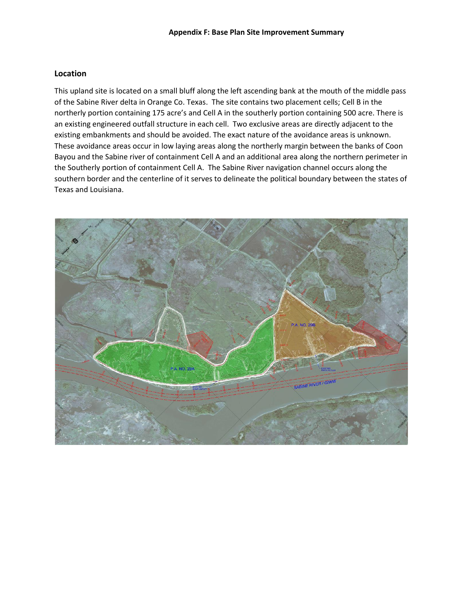#### **Location**

This upland site is located on a small bluff along the left ascending bank at the mouth of the middle pass of the Sabine River delta in Orange Co. Texas. The site contains two placement cells; Cell B in the northerly portion containing 175 acre's and Cell A in the southerly portion containing 500 acre. There is an existing engineered outfall structure in each cell. Two exclusive areas are directly adjacent to the existing embankments and should be avoided. The exact nature of the avoidance areas is unknown. These avoidance areas occur in low laying areas along the northerly margin between the banks of Coon Bayou and the Sabine river of containment Cell A and an additional area along the northern perimeter in the Southerly portion of containment Cell A. The Sabine River navigation channel occurs along the southern border and the centerline of it serves to delineate the political boundary between the states of Texas and Louisiana.

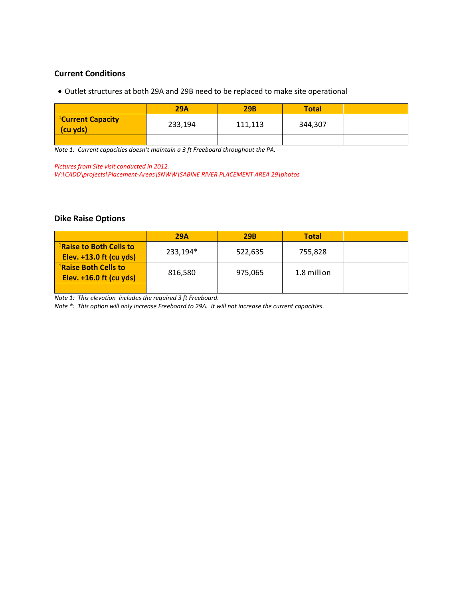### **Current Conditions**

• Outlet structures at both 29A and 29B need to be replaced to make site operational

|                                           | <b>29A</b> | <b>29B</b> | <b>Total</b> |  |
|-------------------------------------------|------------|------------|--------------|--|
| <sup>1</sup> Current Capacity<br>(cu yds) | 233,194    | 111,113    | 344,307      |  |
|                                           |            |            |              |  |

*Note 1: Current capacities doesn't maintain a 3 ft Freeboard throughout the PA.*

*Pictures from Site visit conducted in 2012.*

*W:\CADD\projects\Placement-Areas\SNWW\SABINE RIVER PLACEMENT AREA 29\photos*

## **Dike Raise Options**

|                                     | 29A      | <b>29B</b> | <b>Total</b> |  |
|-------------------------------------|----------|------------|--------------|--|
| <sup>1</sup> Raise to Both Cells to | 233,194* | 522,635    | 755,828      |  |
| Elev. $+13.0$ ft (cu yds)           |          |            |              |  |
| <sup>1</sup> Raise Both Cells to    |          |            |              |  |
| Elev. $+16.0$ ft (cu yds)           | 816,580  | 975,065    | 1.8 million  |  |
|                                     |          |            |              |  |

*Note 1: This elevation includes the required 3 ft Freeboard.*

*Note \*: This option will only increase Freeboard to 29A. It will not increase the current capacities.*